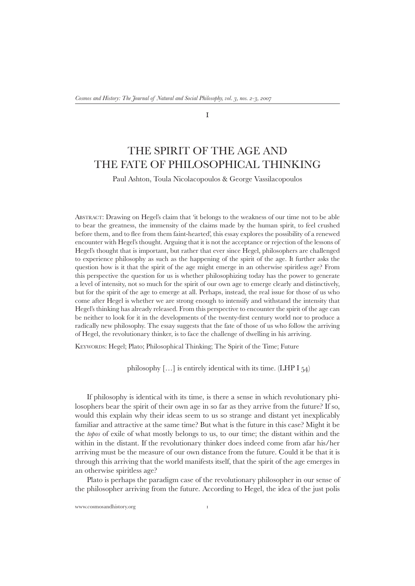1

## The Spirit of the Age and the Fate of Philosophical Thinking

Paul Ashton, Toula Nicolacopoulos & George Vassilacopoulos

Abstract: Drawing on Hegel's claim that 'it belongs to the weakness of our time not to be able to bear the greatness, the immensity of the claims made by the human spirit, to feel crushed before them, and to flee from them faint-hearted', this essay explores the possibility of a renewed encounter with Hegel's thought. Arguing that it is not the acceptance or rejection of the lessons of Hegel's thought that is important, but rather that ever since Hegel, philosophers are challenged to experience philosophy as such as the happening of the spirit of the age. It further asks the question how is it that the spirit of the age might emerge in an otherwise spiritless age? From this perspective the question for us is whether philosophizing today has the power to generate a level of intensity, not so much for the spirit of our own age to emerge clearly and distinctively, but for the spirit of the age to emerge at all. Perhaps, instead, the real issue for those of us who come after Hegel is whether we are strong enough to intensify and withstand the intensity that Hegel's thinking has already released. From this perspective to encounter the spirit of the age can be neither to look for it in the developments of the twenty-first century world nor to produce a radically new philosophy. The essay suggests that the fate of those of us who follow the arriving of Hegel, the revolutionary thinker, is to face the challenge of dwelling in his arriving.

Keywords: Hegel; Plato; Philosophical Thinking; The Spirit of the Time; Future

philosophy […] is entirely identical with its time. (LHP I 54)

If philosophy is identical with its time, is there a sense in which revolutionary philosophers bear the spirit of their own age in so far as they arrive from the future? If so, would this explain why their ideas seem to us so strange and distant yet inexplicably familiar and attractive at the same time? But what is the future in this case? Might it be the *topos* of exile of what mostly belongs to us, to our time; the distant within and the within in the distant. If the revolutionary thinker does indeed come from afar his/her arriving must be the measure of our own distance from the future. Could it be that it is through this arriving that the world manifests itself, that the spirit of the age emerges in an otherwise spiritless age?

Plato is perhaps the paradigm case of the revolutionary philosopher in our sense of the philosopher arriving from the future. According to Hegel, the idea of the just polis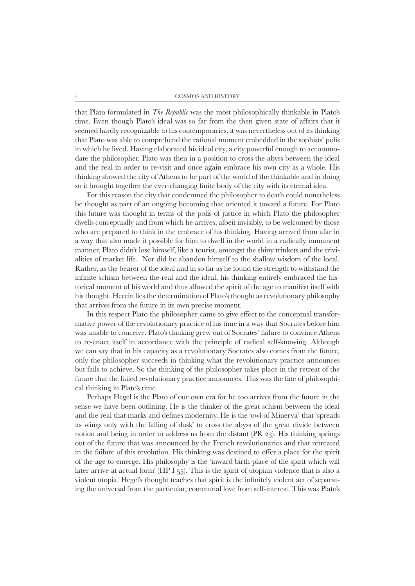that Plato formulated in *The Republic* was the most philosophically thinkable in Plato's time. Even though Plato's ideal was so far from the then given state of affairs that it seemed hardly recognizable to his contemporaries, it was nevertheless out of its thinking that Plato was able to comprehend the rational moment embedded in the sophists' polis in which he lived. Having elaborated his ideal city, a city powerful enough to accommodate the philosopher, Plato was then in a position to cross the abyss between the ideal and the real in order to re-visit and once again embrace his own city as a whole. His thinking showed the city of Athens to be part of the world of the thinkable and in doing so it brought together the ever-changing finite body of the city with its eternal idea.

For this reason the city that condemned the philosopher to death could nonetheless be thought as part of an ongoing becoming that oriented it toward a future. For Plato this future was thought in terms of the polis of justice in which Plato the philosopher dwells conceptually and from which he arrives, albeit invisibly, to be welcomed by those who are prepared to think in the embrace of his thinking. Having arrived from afar in a way that also made it possible for him to dwell in the world in a radically immanent manner, Plato didn't lose himself, like a tourist, amongst the shiny trinkets and the trivialities of market life. Nor did he abandon himself to the shallow wisdom of the local. Rather, as the bearer of the ideal and in so far as he found the strength to withstand the infinite schism between the real and the ideal, his thinking entirely embraced the historical moment of his world and thus allowed the spirit of the age to manifest itself with his thought. Herein lies the determination of Plato's thought as revolutionary philosophy that arrives from the future in its own precise moment.

In this respect Plato the philosopher came to give effect to the conceptual transformative power of the revolutionary practice of his time in a way that Socrates before him was unable to conceive. Plato's thinking grew out of Socrates' failure to convince Athens to re-enact itself in accordance with the principle of radical self-knowing. Although we can say that in his capacity as a revolutionary Socrates also comes from the future, only the philosopher succeeds in thinking what the revolutionary practice announces but fails to achieve. So the thinking of the philosopher takes place in the retreat of the future that the failed revolutionary practice announces. This was the fate of philosophical thinking in Plato's time.

Perhaps Hegel is the Plato of our own era for he too arrives from the future in the sense we have been outlining. He is the thinker of the great schism between the ideal and the real that marks and defines modernity. He is the 'owl of Minerva' that 'spreads its wings only with the falling of dusk' to cross the abyss of the great divide between notion and being in order to address us from the distant (PR 23). His thinking springs out of the future that was announced by the French revolutionaries and that retreated in the failure of this revolution. His thinking was destined to offer a place for the spirit of the age to emerge. His philosophy is the 'inward birth-place of the spirit which will later arrive at actual form' ( $HP I_{55}$ ). This is the spirit of utopian violence that is also a violent utopia. Hegel's thought teaches that spirit is the infinitely violent act of separating the universal from the particular, communal love from self-interest. This was Plato's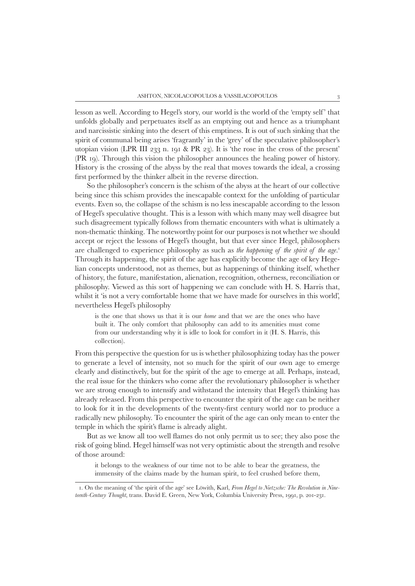lesson as well. According to Hegel's story, our world is the world of the 'empty self' that unfolds globally and perpetuates itself as an emptying out and hence as a triumphant and narcissistic sinking into the desert of this emptiness. It is out of such sinking that the spirit of communal being arises 'fragrantly' in the 'grey' of the speculative philosopher's utopian vision (LPR III 233 n. 191 & PR 23). It is 'the rose in the cross of the present' (PR 19). Through this vision the philosopher announces the healing power of history. History is the crossing of the abyss by the real that moves towards the ideal, a crossing first performed by the thinker albeit in the reverse direction.

So the philosopher's concern is the schism of the abyss at the heart of our collective being since this schism provides the inescapable context for the unfolding of particular events. Even so, the collapse of the schism is no less inescapable according to the lesson of Hegel's speculative thought. This is a lesson with which many may well disagree but such disagreement typically follows from thematic encounters with what is ultimately a non-thematic thinking. The noteworthy point for our purposes is not whether we should accept or reject the lessons of Hegel's thought, but that ever since Hegel, philosophers are challenged to experience philosophy as such as *the happening of the spirit of the age*. 1 Through its happening, the spirit of the age has explicitly become the age of key Hegelian concepts understood, not as themes, but as happenings of thinking itself, whether of history, the future, manifestation, alienation, recognition, otherness, reconciliation or philosophy. Viewed as this sort of happening we can conclude with H. S. Harris that, whilst it 'is not a very comfortable home that we have made for ourselves in this world', nevertheless Hegel's philosophy

is the one that shows us that it is our *home* and that we are the ones who have built it. The only comfort that philosophy can add to its amenities must come from our understanding why it is idle to look for comfort in it (H. S. Harris, this collection).

From this perspective the question for us is whether philosophizing today has the power to generate a level of intensity, not so much for the spirit of our own age to emerge clearly and distinctively, but for the spirit of the age to emerge at all. Perhaps, instead, the real issue for the thinkers who come after the revolutionary philosopher is whether we are strong enough to intensify and withstand the intensity that Hegel's thinking has already released. From this perspective to encounter the spirit of the age can be neither to look for it in the developments of the twenty-first century world nor to produce a radically new philosophy. To encounter the spirit of the age can only mean to enter the temple in which the spirit's flame is already alight.

But as we know all too well flames do not only permit us to see; they also pose the risk of going blind. Hegel himself was not very optimistic about the strength and resolve of those around:

it belongs to the weakness of our time not to be able to bear the greatness, the immensity of the claims made by the human spirit, to feel crushed before them,

 <sup>1.</sup> On the meaning of 'the spirit of the age' see Löwith, Karl, *From Hegel to Nietzsche: The Revolution in Nineteenth-Century Thought*, trans. David E. Green, New York, Columbia University Press, 1991, p. 201-231.